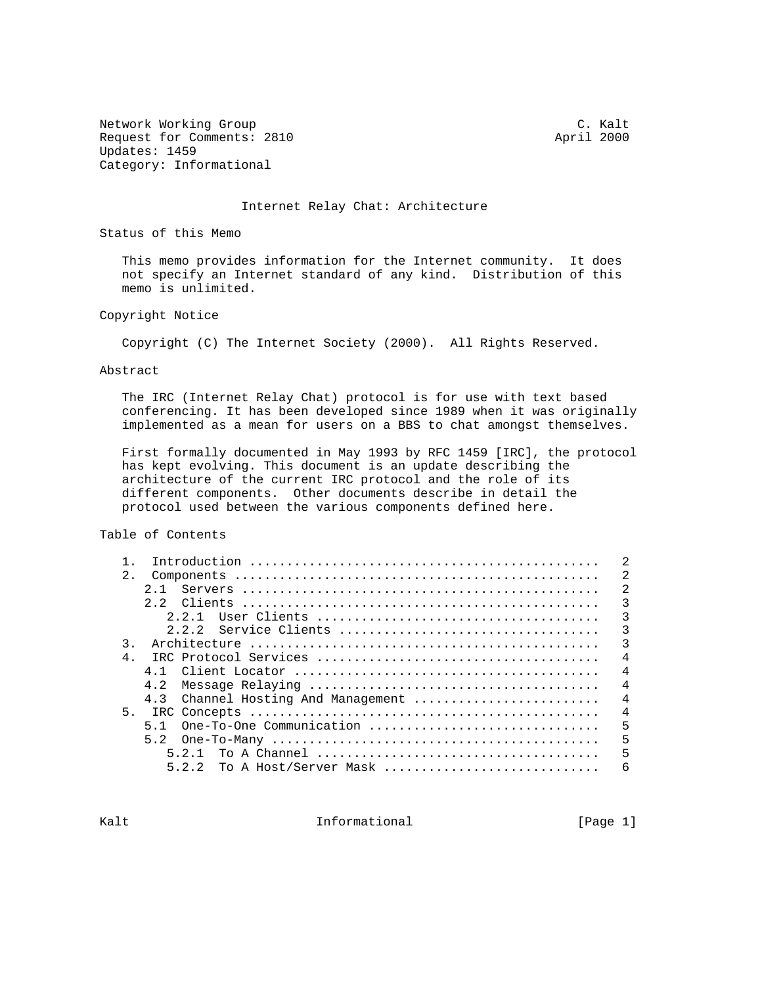Network Working Group C. C. Kalt Request for Comments: 2810 April 2000 Updates: 1459 Category: Informational

## Internet Relay Chat: Architecture

Status of this Memo

 This memo provides information for the Internet community. It does not specify an Internet standard of any kind. Distribution of this memo is unlimited.

Copyright Notice

Copyright (C) The Internet Society (2000). All Rights Reserved.

Abstract

 The IRC (Internet Relay Chat) protocol is for use with text based conferencing. It has been developed since 1989 when it was originally implemented as a mean for users on a BBS to chat amongst themselves.

 First formally documented in May 1993 by RFC 1459 [IRC], the protocol has kept evolving. This document is an update describing the architecture of the current IRC protocol and the role of its different components. Other documents describe in detail the protocol used between the various components defined here.

Table of Contents

| 2.                                                      | 2              |
|---------------------------------------------------------|----------------|
| 2 1                                                     | 2              |
|                                                         | $\mathcal{R}$  |
| 2 2 1                                                   | 3              |
| 2.2.2 Service Clients                                   | 3              |
| $\mathcal{L}$                                           | 3              |
| $\overline{4}$                                          | $\overline{4}$ |
| 4 1                                                     | $\overline{4}$ |
|                                                         | $\overline{4}$ |
| 4.3 Channel Hosting And Management                      | $\overline{4}$ |
| 5 <sub>1</sub>                                          | $\overline{4}$ |
| One-To-One Communication $\ldots$ , $\ldots$ , $\ldots$ | 5              |
|                                                         | 5              |
| 5 2 1                                                   | 5              |
| 5.2.2<br>To A Host/Server Mask                          | 6              |
|                                                         |                |

Kalt **Informational** Informational [Page 1]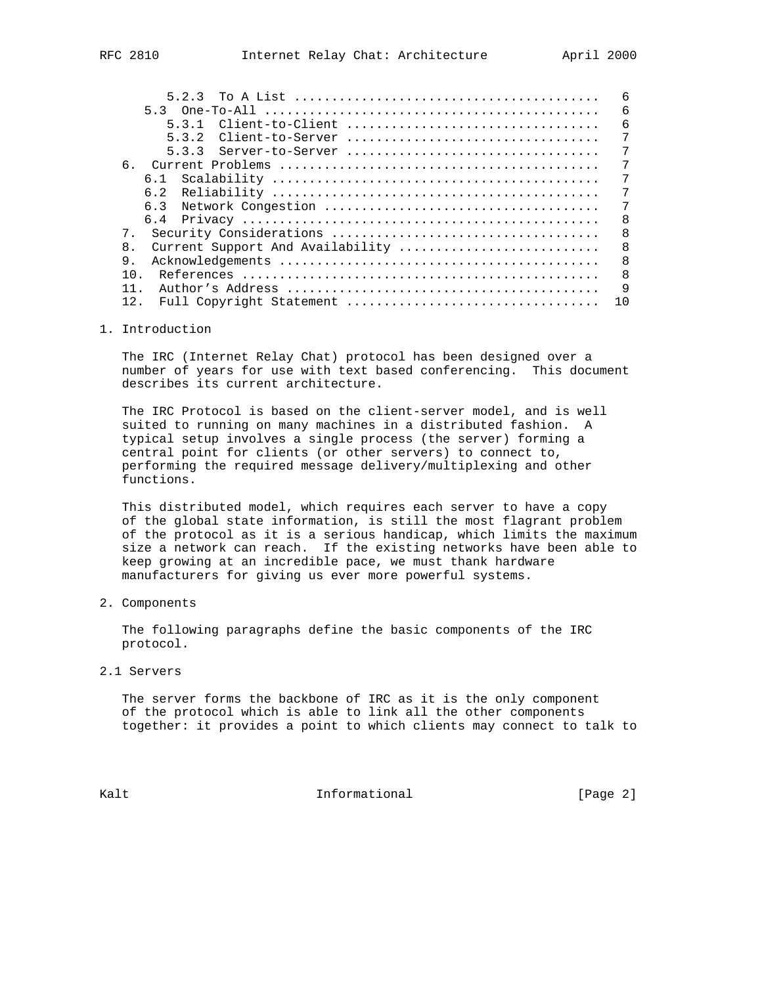| 533<br>6.                                        | 7<br>7         |
|--------------------------------------------------|----------------|
|                                                  |                |
|                                                  |                |
|                                                  | 7              |
|                                                  | 7              |
|                                                  | 7              |
|                                                  | 7              |
|                                                  | -8             |
|                                                  | $\overline{8}$ |
| $\mathsf{R}$<br>Current Support And Availability | $\overline{8}$ |
| 9.                                               | $\mathsf{R}$   |
| 1 N                                              | - 8            |
|                                                  | q              |
|                                                  | 10             |

# 1. Introduction

 The IRC (Internet Relay Chat) protocol has been designed over a number of years for use with text based conferencing. This document describes its current architecture.

 The IRC Protocol is based on the client-server model, and is well suited to running on many machines in a distributed fashion. A typical setup involves a single process (the server) forming a central point for clients (or other servers) to connect to, performing the required message delivery/multiplexing and other functions.

 This distributed model, which requires each server to have a copy of the global state information, is still the most flagrant problem of the protocol as it is a serious handicap, which limits the maximum size a network can reach. If the existing networks have been able to keep growing at an incredible pace, we must thank hardware manufacturers for giving us ever more powerful systems.

2. Components

 The following paragraphs define the basic components of the IRC protocol.

2.1 Servers

 The server forms the backbone of IRC as it is the only component of the protocol which is able to link all the other components together: it provides a point to which clients may connect to talk to

Kalt **Informational Informational** [Page 2]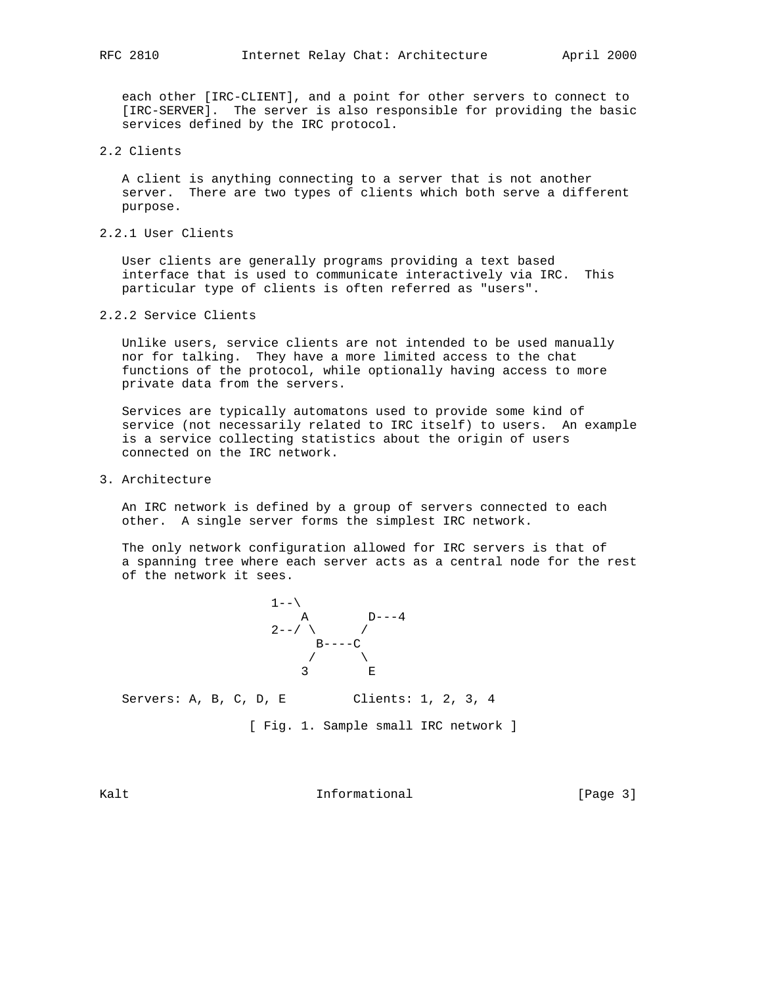each other [IRC-CLIENT], and a point for other servers to connect to [IRC-SERVER]. The server is also responsible for providing the basic services defined by the IRC protocol.

## 2.2 Clients

 A client is anything connecting to a server that is not another server. There are two types of clients which both serve a different purpose.

2.2.1 User Clients

 User clients are generally programs providing a text based interface that is used to communicate interactively via IRC. This particular type of clients is often referred as "users".

2.2.2 Service Clients

 Unlike users, service clients are not intended to be used manually nor for talking. They have a more limited access to the chat functions of the protocol, while optionally having access to more private data from the servers.

 Services are typically automatons used to provide some kind of service (not necessarily related to IRC itself) to users. An example is a service collecting statistics about the origin of users connected on the IRC network.

3. Architecture

 An IRC network is defined by a group of servers connected to each other. A single server forms the simplest IRC network.

 The only network configuration allowed for IRC servers is that of a spanning tree where each server acts as a central node for the rest of the network it sees.



Servers: A, B, C, D, E Clients: 1, 2, 3, 4

[ Fig. 1. Sample small IRC network ]

Kalt **Informational** Informational [Page 3]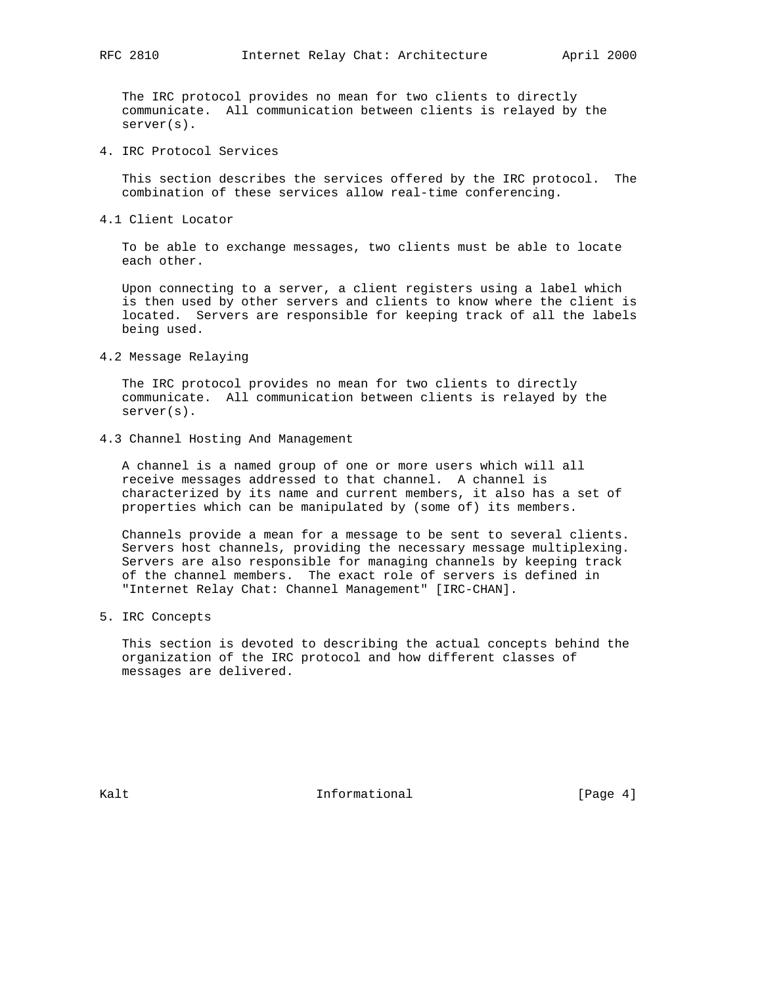The IRC protocol provides no mean for two clients to directly communicate. All communication between clients is relayed by the server(s).

4. IRC Protocol Services

 This section describes the services offered by the IRC protocol. The combination of these services allow real-time conferencing.

4.1 Client Locator

 To be able to exchange messages, two clients must be able to locate each other.

 Upon connecting to a server, a client registers using a label which is then used by other servers and clients to know where the client is located. Servers are responsible for keeping track of all the labels being used.

4.2 Message Relaying

 The IRC protocol provides no mean for two clients to directly communicate. All communication between clients is relayed by the server(s).

4.3 Channel Hosting And Management

 A channel is a named group of one or more users which will all receive messages addressed to that channel. A channel is characterized by its name and current members, it also has a set of properties which can be manipulated by (some of) its members.

 Channels provide a mean for a message to be sent to several clients. Servers host channels, providing the necessary message multiplexing. Servers are also responsible for managing channels by keeping track of the channel members. The exact role of servers is defined in "Internet Relay Chat: Channel Management" [IRC-CHAN].

5. IRC Concepts

 This section is devoted to describing the actual concepts behind the organization of the IRC protocol and how different classes of messages are delivered.

Kalt **Informational Informational** [Page 4]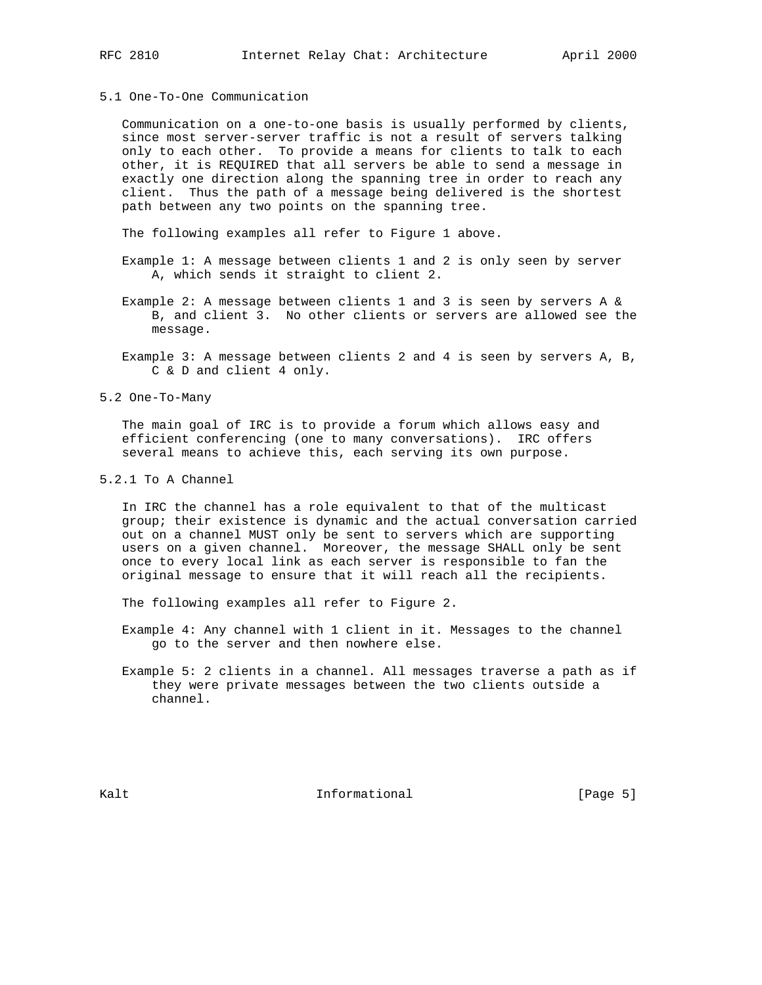## 5.1 One-To-One Communication

 Communication on a one-to-one basis is usually performed by clients, since most server-server traffic is not a result of servers talking only to each other. To provide a means for clients to talk to each other, it is REQUIRED that all servers be able to send a message in exactly one direction along the spanning tree in order to reach any client. Thus the path of a message being delivered is the shortest path between any two points on the spanning tree.

The following examples all refer to Figure 1 above.

- Example 1: A message between clients 1 and 2 is only seen by server A, which sends it straight to client 2.
- Example 2: A message between clients 1 and 3 is seen by servers A & B, and client 3. No other clients or servers are allowed see the message.
- Example 3: A message between clients 2 and 4 is seen by servers A, B, C & D and client 4 only.
- 5.2 One-To-Many

 The main goal of IRC is to provide a forum which allows easy and efficient conferencing (one to many conversations). IRC offers several means to achieve this, each serving its own purpose.

5.2.1 To A Channel

 In IRC the channel has a role equivalent to that of the multicast group; their existence is dynamic and the actual conversation carried out on a channel MUST only be sent to servers which are supporting users on a given channel. Moreover, the message SHALL only be sent once to every local link as each server is responsible to fan the original message to ensure that it will reach all the recipients.

The following examples all refer to Figure 2.

 Example 4: Any channel with 1 client in it. Messages to the channel go to the server and then nowhere else.

 Example 5: 2 clients in a channel. All messages traverse a path as if they were private messages between the two clients outside a channel.

Kalt **Informational** Informational [Page 5]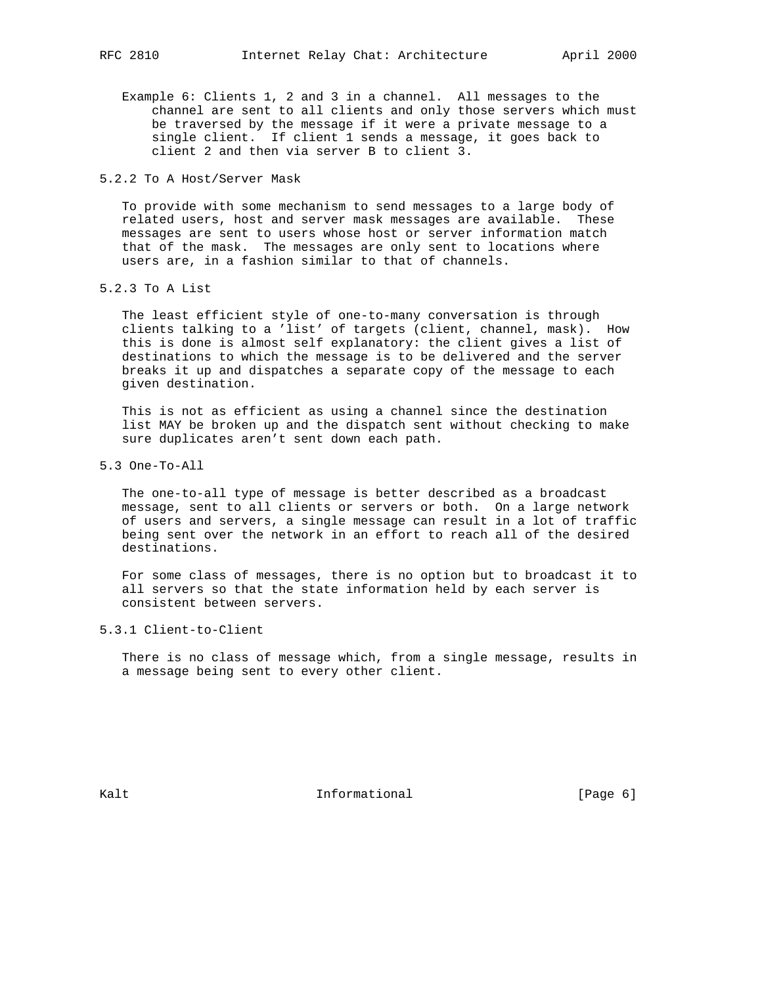- Example 6: Clients 1, 2 and 3 in a channel. All messages to the channel are sent to all clients and only those servers which must be traversed by the message if it were a private message to a single client. If client 1 sends a message, it goes back to client 2 and then via server B to client 3.
- 5.2.2 To A Host/Server Mask

 To provide with some mechanism to send messages to a large body of related users, host and server mask messages are available. These messages are sent to users whose host or server information match that of the mask. The messages are only sent to locations where users are, in a fashion similar to that of channels.

5.2.3 To A List

 The least efficient style of one-to-many conversation is through clients talking to a 'list' of targets (client, channel, mask). How this is done is almost self explanatory: the client gives a list of destinations to which the message is to be delivered and the server breaks it up and dispatches a separate copy of the message to each given destination.

 This is not as efficient as using a channel since the destination list MAY be broken up and the dispatch sent without checking to make sure duplicates aren't sent down each path.

5.3 One-To-All

 The one-to-all type of message is better described as a broadcast message, sent to all clients or servers or both. On a large network of users and servers, a single message can result in a lot of traffic being sent over the network in an effort to reach all of the desired destinations.

 For some class of messages, there is no option but to broadcast it to all servers so that the state information held by each server is consistent between servers.

5.3.1 Client-to-Client

 There is no class of message which, from a single message, results in a message being sent to every other client.

Kalt **Informational** Informational [Page 6]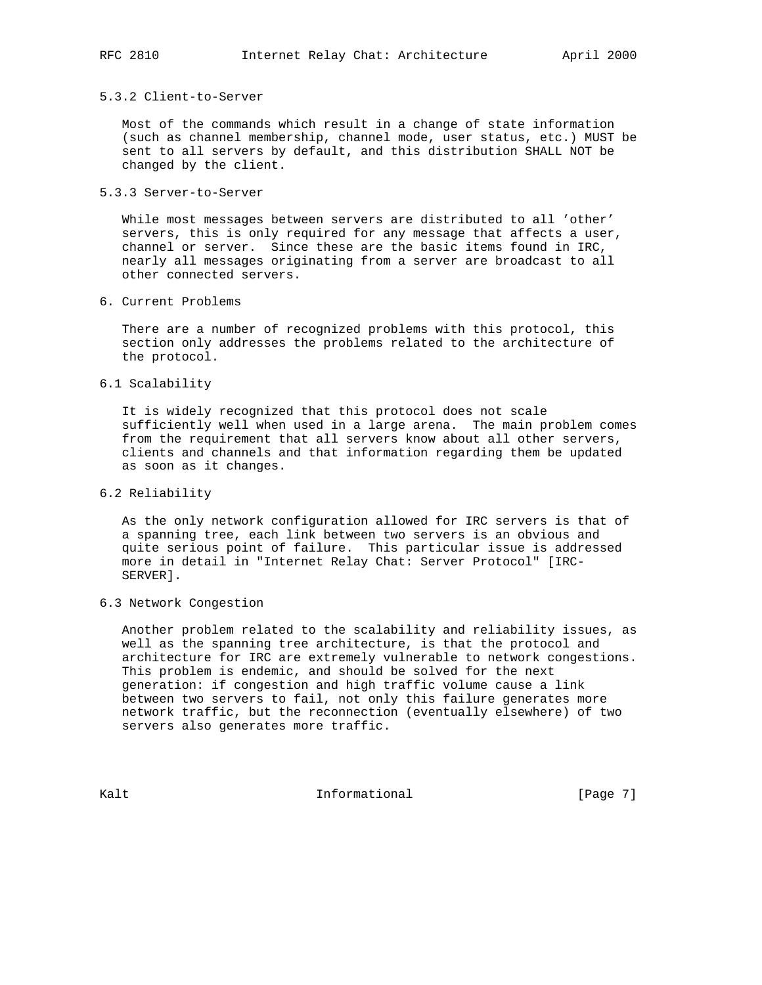#### 5.3.2 Client-to-Server

 Most of the commands which result in a change of state information (such as channel membership, channel mode, user status, etc.) MUST be sent to all servers by default, and this distribution SHALL NOT be changed by the client.

5.3.3 Server-to-Server

 While most messages between servers are distributed to all 'other' servers, this is only required for any message that affects a user, channel or server. Since these are the basic items found in IRC, nearly all messages originating from a server are broadcast to all other connected servers.

6. Current Problems

 There are a number of recognized problems with this protocol, this section only addresses the problems related to the architecture of the protocol.

6.1 Scalability

 It is widely recognized that this protocol does not scale sufficiently well when used in a large arena. The main problem comes from the requirement that all servers know about all other servers, clients and channels and that information regarding them be updated as soon as it changes.

6.2 Reliability

 As the only network configuration allowed for IRC servers is that of a spanning tree, each link between two servers is an obvious and quite serious point of failure. This particular issue is addressed more in detail in "Internet Relay Chat: Server Protocol" [IRC- SERVER].

6.3 Network Congestion

 Another problem related to the scalability and reliability issues, as well as the spanning tree architecture, is that the protocol and architecture for IRC are extremely vulnerable to network congestions. This problem is endemic, and should be solved for the next generation: if congestion and high traffic volume cause a link between two servers to fail, not only this failure generates more network traffic, but the reconnection (eventually elsewhere) of two servers also generates more traffic.

Kalt **Informational** Informational [Page 7]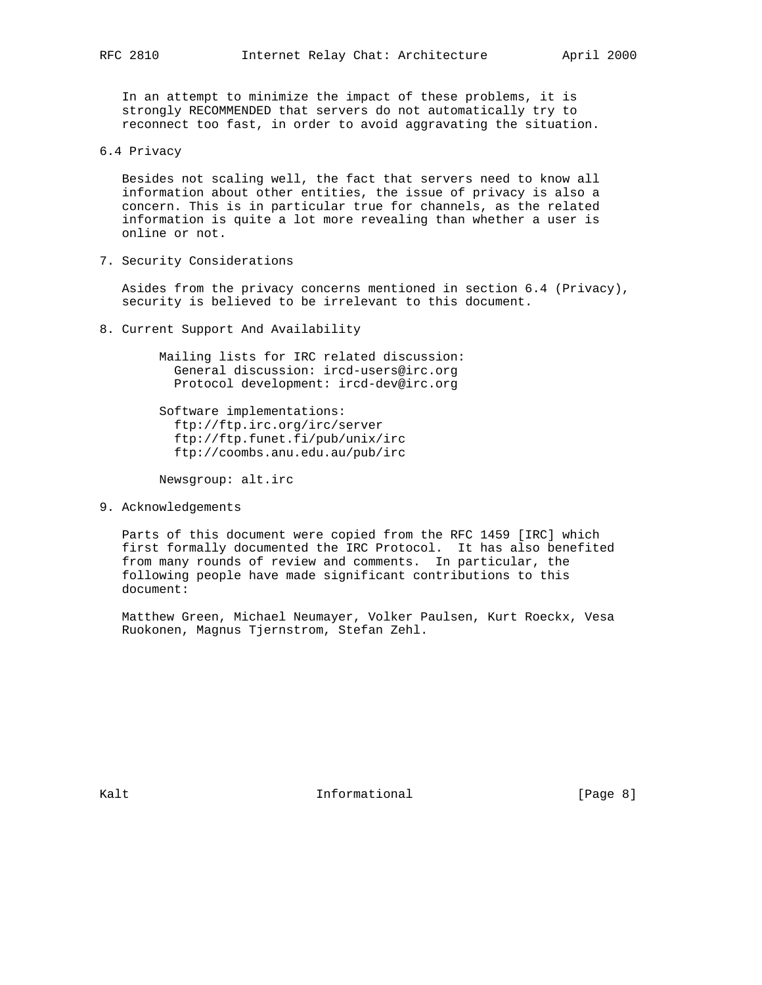In an attempt to minimize the impact of these problems, it is strongly RECOMMENDED that servers do not automatically try to reconnect too fast, in order to avoid aggravating the situation.

6.4 Privacy

 Besides not scaling well, the fact that servers need to know all information about other entities, the issue of privacy is also a concern. This is in particular true for channels, as the related information is quite a lot more revealing than whether a user is online or not.

7. Security Considerations

 Asides from the privacy concerns mentioned in section 6.4 (Privacy), security is believed to be irrelevant to this document.

8. Current Support And Availability

 Mailing lists for IRC related discussion: General discussion: ircd-users@irc.org Protocol development: ircd-dev@irc.org

 Software implementations: ftp://ftp.irc.org/irc/server ftp://ftp.funet.fi/pub/unix/irc ftp://coombs.anu.edu.au/pub/irc

Newsgroup: alt.irc

9. Acknowledgements

 Parts of this document were copied from the RFC 1459 [IRC] which first formally documented the IRC Protocol. It has also benefited from many rounds of review and comments. In particular, the following people have made significant contributions to this document:

 Matthew Green, Michael Neumayer, Volker Paulsen, Kurt Roeckx, Vesa Ruokonen, Magnus Tjernstrom, Stefan Zehl.

Kalt **Informational** Informational [Page 8]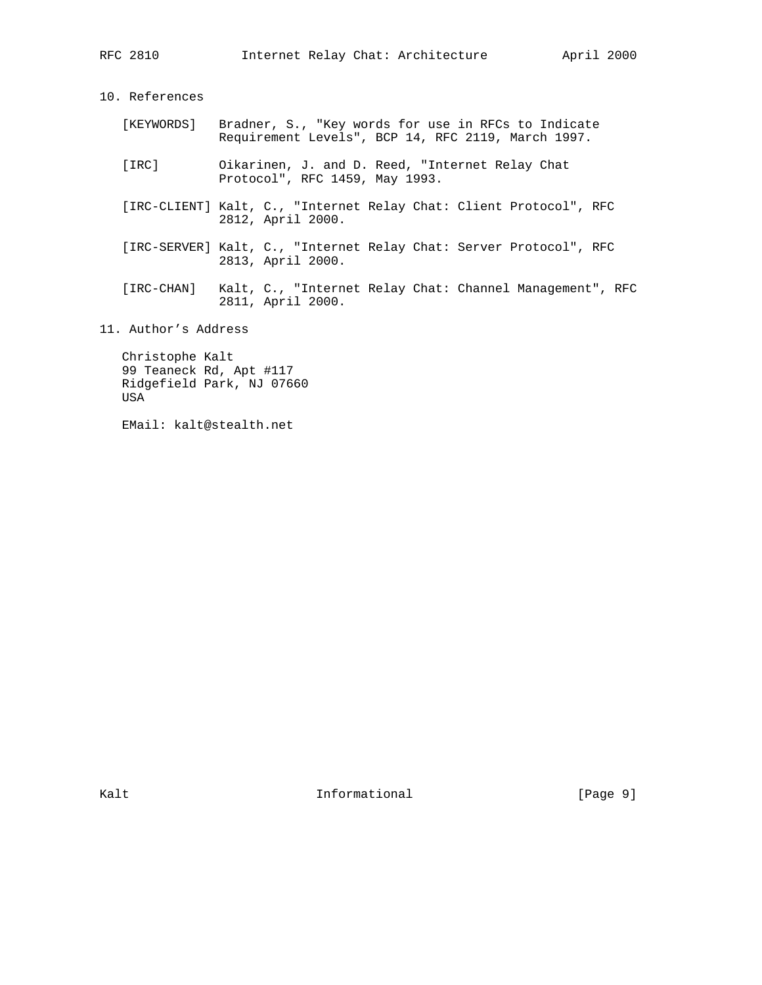USA

10. References [KEYWORDS] Bradner, S., "Key words for use in RFCs to Indicate Requirement Levels", BCP 14, RFC 2119, March 1997. [IRC] Oikarinen, J. and D. Reed, "Internet Relay Chat Protocol", RFC 1459, May 1993. [IRC-CLIENT] Kalt, C., "Internet Relay Chat: Client Protocol", RFC 2812, April 2000. [IRC-SERVER] Kalt, C., "Internet Relay Chat: Server Protocol", RFC 2813, April 2000. [IRC-CHAN] Kalt, C., "Internet Relay Chat: Channel Management", RFC 2811, April 2000. 11. Author's Address Christophe Kalt 99 Teaneck Rd, Apt #117 Ridgefield Park, NJ 07660

EMail: kalt@stealth.net

Kalt **Informational** Informational [Page 9]